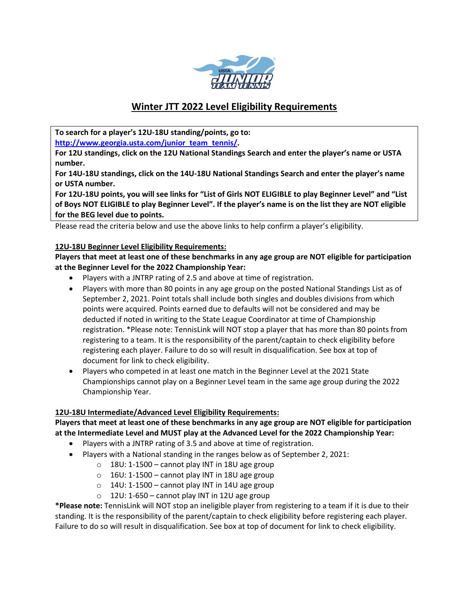

# **Winter JTT 2022 Level Eligibility Requirements**

**To search for a player's 12U-18U standing/points, go to: [http://www.georgia.usta.com/junior\\_team\\_tennis/.](http://www.georgia.usta.com/junior_team_tennis/)**

**For 12U standings, click on the 12U National Standings Search and enter the player's name or USTA number.**

**For 14U-18U standings, click on the 14U-18U National Standings Search and enter the player's name or USTA number.**

**For 12U-18U points, you will see links for "List of Girls NOT ELIGIBLE to play Beginner Level" and "List of Boys NOT ELIGIBLE to play Beginner Level". If the player's name is on the list they are NOT eligible for the BEG level due to points.**

Please read the criteria below and use the above links to help confirm a player's eligibility.

### **12U-18U Beginner Level Eligibility Requirements:**

**Players that meet at least one of these benchmarks in any age group are NOT eligible for participation at the Beginner Level for the 2022 Championship Year:**

- Players with a JNTRP rating of 2.5 and above at time of registration.
- Players with more than 80 points in any age group on the posted National Standings List as of September 2, 2021. Point totals shall include both singles and doubles divisions from which points were acquired. Points earned due to defaults will not be considered and may be deducted if noted in writing to the State League Coordinator at time of Championship registration. \*Please note: TennisLink will NOT stop a player that has more than 80 points from registering to a team. It is the responsibility of the parent/captain to check eligibility before registering each player. Failure to do so will result in disqualification. See box at top of document for link to check eligibility.
- Players who competed in at least one match in the Beginner Level at the 2021 State Championships cannot play on a Beginner Level team in the same age group during the 2022 Championship Year.

## **12U-18U Intermediate/Advanced Level Eligibility Requirements:**

**Players that meet at least one of these benchmarks in any age group are NOT eligible for participation at the Intermediate Level and MUST play at the Advanced Level for the 2022 Championship Year:**

- Players with a JNTRP rating of 3.5 and above at time of registration.
- Players with a National standing in the ranges below as of September 2, 2021:
	- $\circ$  18U: 1-1500 cannot play INT in 18U age group
	- $\circ$  16U: 1-1500 cannot play INT in 18U age group
	- $\circ$  14U: 1-1500 cannot play INT in 14U age group
	- $\circ$  12U: 1-650 cannot play INT in 12U age group

**\*Please note:** TennisLink will NOT stop an ineligible player from registering to a team if it is due to their standing. It is the responsibility of the parent/captain to check eligibility before registering each player. Failure to do so will result in disqualification. See box at top of document for link to check eligibility.